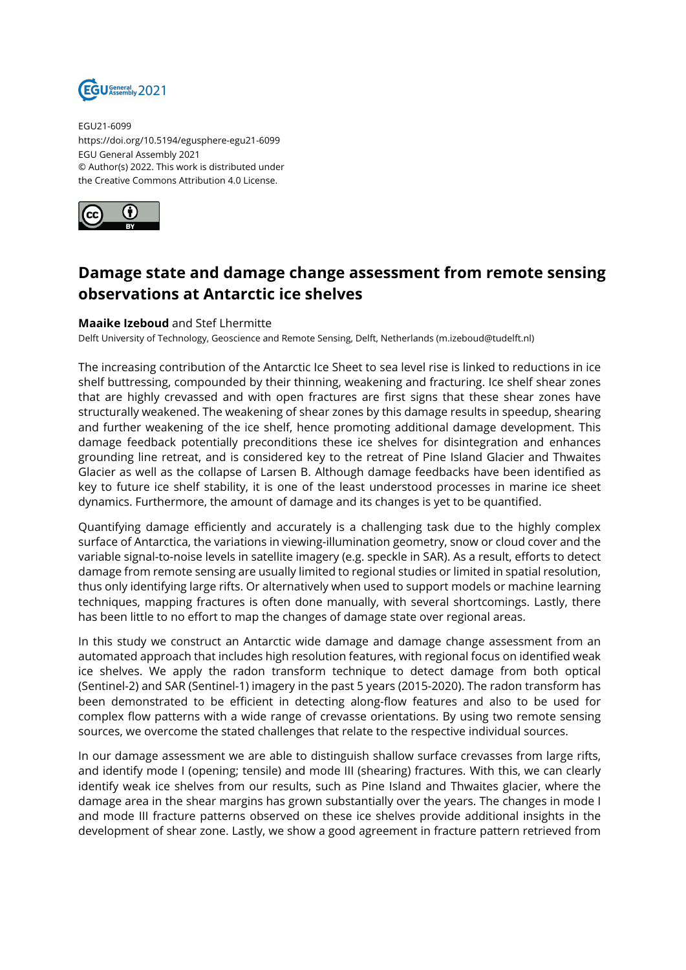

EGU21-6099 https://doi.org/10.5194/egusphere-egu21-6099 EGU General Assembly 2021 © Author(s) 2022. This work is distributed under the Creative Commons Attribution 4.0 License.



## **Damage state and damage change assessment from remote sensing observations at Antarctic ice shelves**

## **Maaike Izeboud** and Stef Lhermitte

Delft University of Technology, Geoscience and Remote Sensing, Delft, Netherlands (m.izeboud@tudelft.nl)

The increasing contribution of the Antarctic Ice Sheet to sea level rise is linked to reductions in ice shelf buttressing, compounded by their thinning, weakening and fracturing. Ice shelf shear zones that are highly crevassed and with open fractures are first signs that these shear zones have structurally weakened. The weakening of shear zones by this damage results in speedup, shearing and further weakening of the ice shelf, hence promoting additional damage development. This damage feedback potentially preconditions these ice shelves for disintegration and enhances grounding line retreat, and is considered key to the retreat of Pine Island Glacier and Thwaites Glacier as well as the collapse of Larsen B. Although damage feedbacks have been identified as key to future ice shelf stability, it is one of the least understood processes in marine ice sheet dynamics. Furthermore, the amount of damage and its changes is yet to be quantified.

Quantifying damage efficiently and accurately is a challenging task due to the highly complex surface of Antarctica, the variations in viewing-illumination geometry, snow or cloud cover and the variable signal-to-noise levels in satellite imagery (e.g. speckle in SAR). As a result, efforts to detect damage from remote sensing are usually limited to regional studies or limited in spatial resolution, thus only identifying large rifts. Or alternatively when used to support models or machine learning techniques, mapping fractures is often done manually, with several shortcomings. Lastly, there has been little to no effort to map the changes of damage state over regional areas.

In this study we construct an Antarctic wide damage and damage change assessment from an automated approach that includes high resolution features, with regional focus on identified weak ice shelves. We apply the radon transform technique to detect damage from both optical (Sentinel-2) and SAR (Sentinel-1) imagery in the past 5 years (2015-2020). The radon transform has been demonstrated to be efficient in detecting along-flow features and also to be used for complex flow patterns with a wide range of crevasse orientations. By using two remote sensing sources, we overcome the stated challenges that relate to the respective individual sources.

In our damage assessment we are able to distinguish shallow surface crevasses from large rifts, and identify mode I (opening; tensile) and mode III (shearing) fractures. With this, we can clearly identify weak ice shelves from our results, such as Pine Island and Thwaites glacier, where the damage area in the shear margins has grown substantially over the years. The changes in mode I and mode III fracture patterns observed on these ice shelves provide additional insights in the development of shear zone. Lastly, we show a good agreement in fracture pattern retrieved from